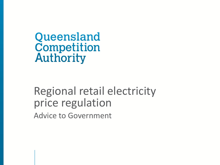Queensland **Competition** Authority

Regional retail electricity price regulation Advice to Government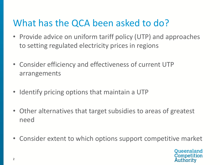## What has the QCA been asked to do?

- Provide advice on uniform tariff policy (UTP) and approaches to setting regulated electricity prices in regions
- Consider efficiency and effectiveness of current UTP arrangements
- Identify pricing options that maintain a UTP
- Other alternatives that target subsidies to areas of greatest need
- Consider extent to which options support competitive market

**Oueensland** Competition Authority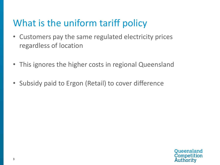## What is the uniform tariff policy

- Customers pay the same regulated electricity prices regardless of location
- This ignores the higher costs in regional Queensland
- Subsidy paid to Ergon (Retail) to cover difference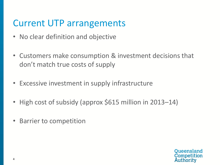### Current UTP arrangements

- No clear definition and objective
- Customers make consumption & investment decisions that don't match true costs of supply
- Excessive investment in supply infrastructure
- High cost of subsidy (approx \$615 million in 2013–14)
- Barrier to competition

Queensland Competition Authority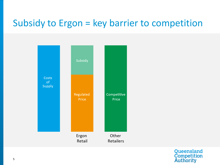## Subsidy to Ergon = key barrier to competition



# Queensland<br>Competition<br>Authority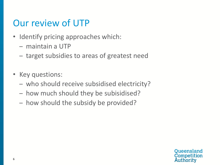## Our review of UTP

- Identify pricing approaches which:
	- maintain a UTP
	- target subsidies to areas of greatest need
- Key questions:
	- who should receive subsidised electricity?
	- how much should they be subisidised?
	- how should the subsidy be provided?

Oueensland Competition Authority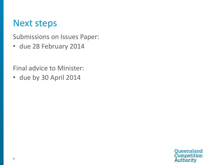### Next steps

Submissions on Issues Paper:

• due 28 February 2014

Final advice to Minister:

• due by 30 April 2014